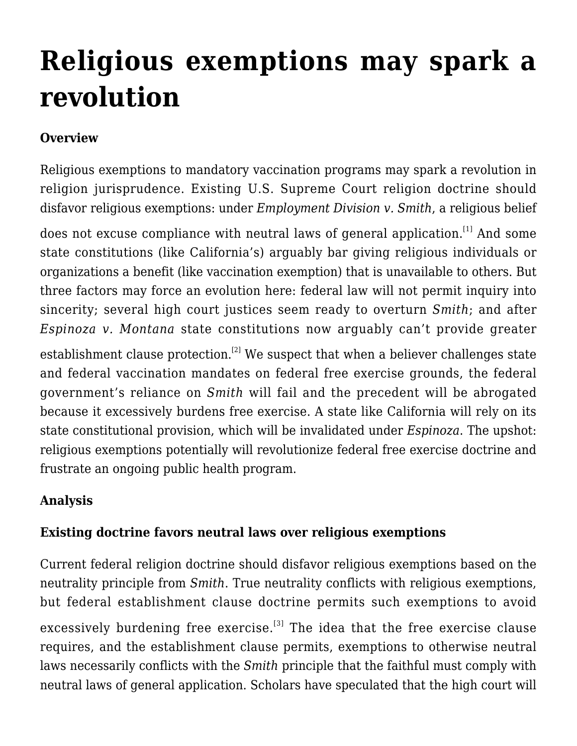# **[Religious exemptions may spark a](https://scocablog.com/religious-exemptions-may-spark-a-revolution/) [revolution](https://scocablog.com/religious-exemptions-may-spark-a-revolution/)**

## **Overview**

Religious exemptions to mandatory vaccination programs may spark a revolution in religion jurisprudence. Existing U.S. Supreme Court religion doctrine should disfavor religious exemptions: under *Employment Division v. Smith*, a religious belief

does not excuse compliance with neutral laws of general application.<sup>[\[1\]](#page--1-0)</sup> And some state constitutions (like California's) arguably bar giving religious individuals or organizations a benefit (like vaccination exemption) that is unavailable to others. But three factors may force an evolution here: federal law will not permit inquiry into sincerity; several high court justices seem ready to overturn *Smith*; and after *Espinoza v. Montana* state constitutions now arguably can't provide greater

establishment clause protection.<sup>[\[2\]](#page--1-0)</sup> We suspect that when a believer challenges state and federal vaccination mandates on federal free exercise grounds, the federal government's reliance on *Smith* will fail and the precedent will be abrogated because it excessively burdens free exercise. A state like California will rely on its state constitutional provision, which will be invalidated under *Espinoza*. The upshot: religious exemptions potentially will revolutionize federal free exercise doctrine and frustrate an ongoing public health program.

#### **Analysis**

#### **Existing doctrine favors neutral laws over religious exemptions**

Current federal religion doctrine should disfavor religious exemptions based on the neutrality principle from *Smith*. True neutrality conflicts with religious exemptions, but federal establishment clause doctrine permits such exemptions to avoid excessively burdening free exercise.<sup>[\[3\]](#page--1-0)</sup> The idea that the free exercise clause requires, and the establishment clause permits, exemptions to otherwise neutral laws necessarily conflicts with the *Smith* principle that the faithful must comply with neutral laws of general application. Scholars have speculated that the high court will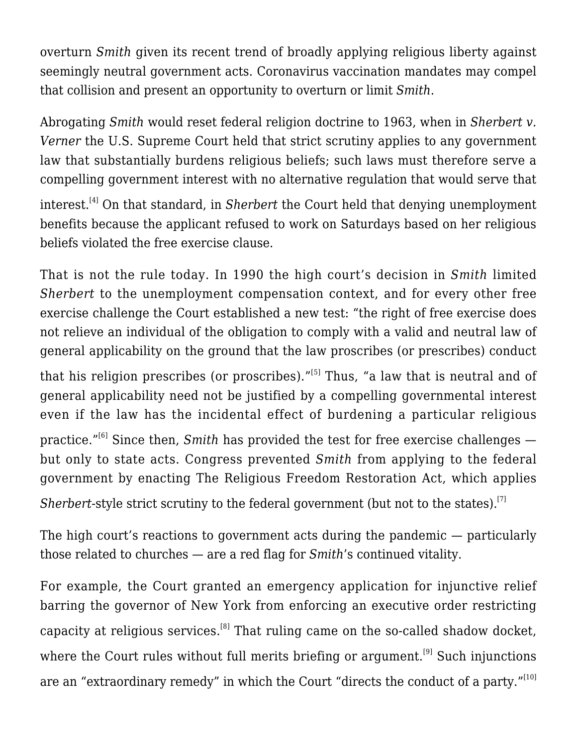overturn *Smith* given its recent trend of broadly applying religious liberty against seemingly neutral government acts. Coronavirus vaccination mandates may compel that collision and present an opportunity to overturn or limit *Smith*.

Abrogating *Smith* would reset federal religion doctrine to 1963, when in *Sherbert v. Verner* the U.S. Supreme Court held that strict scrutiny applies to any government law that substantially burdens religious beliefs; such laws must therefore serve a compelling government interest with no alternative regulation that would serve that

interest.[\[4\]](#page--1-0) On that standard, in *Sherbert* the Court held that denying unemployment benefits because the applicant refused to work on Saturdays based on her religious beliefs violated the free exercise clause.

That is not the rule today. In 1990 the high court's decision in *Smith* limited *Sherbert* to the unemployment compensation context, and for every other free exercise challenge the Court established a new test: "the right of free exercise does not relieve an individual of the obligation to comply with a valid and neutral law of general applicability on the ground that the law proscribes (or prescribes) conduct

that his religion prescribes (or proscribes)." $[5]$  Thus, "a law that is neutral and of general applicability need not be justified by a compelling governmental interest even if the law has the incidental effect of burdening a particular religious

practice."<sup>[\[6\]](#page--1-0)</sup> Since then, *Smith* has provided the test for free exercise challenges but only to state acts. Congress prevented *Smith* from applying to the federal government by enacting The Religious Freedom Restoration Act, which applies

*Sherbert*-style strict scrutiny to the federal government (but not to the states).<sup>[\[7\]](#page--1-0)</sup>

The high court's reactions to government acts during the pandemic — particularly those related to churches — are a red flag for *Smith*'s continued vitality.

For example, the Court granted an emergency application for injunctive relief barring the governor of New York from enforcing an executive order restricting capacity at religious services.<sup>[\[8\]](#page--1-0)</sup> That ruling came on the so-called shadow docket, where the Court rules without full merits briefing or argument.<sup>[\[9\]](#page--1-0)</sup> Such injunctions are an "extraordinary remedy" in which the Court "directs the conduct of a party."<sup>[\[10\]](#page--1-0)</sup>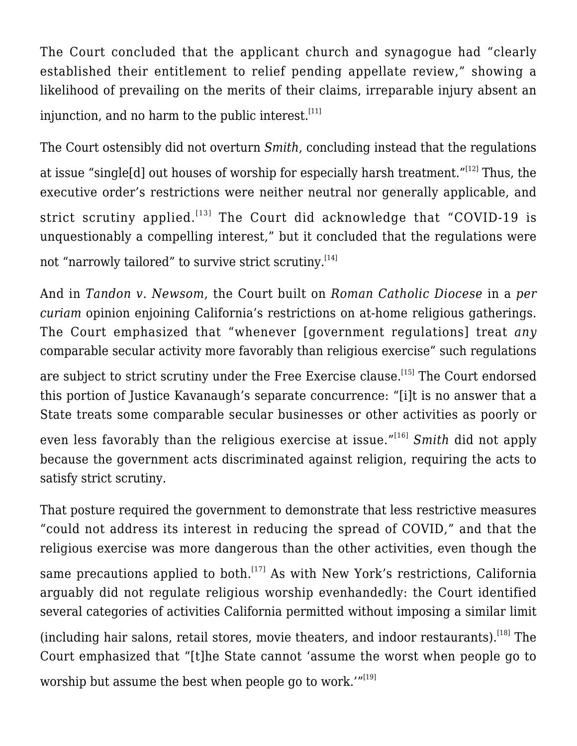The Court concluded that the applicant church and synagogue had "clearly established their entitlement to relief pending appellate review," showing a likelihood of prevailing on the merits of their claims, irreparable injury absent an injunction, and no harm to the public interest. $[11]$ 

The Court ostensibly did not overturn *Smith*, concluding instead that the regulations at issue "single[d] out houses of worship for especially harsh treatment."[\[12\]](#page--1-0) Thus, the executive order's restrictions were neither neutral nor generally applicable, and strict scrutiny applied.<sup>[\[13\]](#page--1-0)</sup> The Court did acknowledge that "COVID-19 is unquestionably a compelling interest," but it concluded that the regulations were not "narrowly tailored" to survive strict scrutiny.<sup>[\[14\]](#page--1-0)</sup>

And in *Tandon v. Newsom*, the Court built on *Roman Catholic Diocese* in a *per curiam* opinion enjoining California's restrictions on at-home religious gatherings. The Court emphasized that "whenever [government regulations] treat *any* comparable secular activity more favorably than religious exercise" such regulations

are subject to strict scrutiny under the Free Exercise clause.<sup>[\[15\]](#page--1-0)</sup> The Court endorsed this portion of Justice Kavanaugh's separate concurrence: "[i]t is no answer that a State treats some comparable secular businesses or other activities as poorly or

even less favorably than the religious exercise at issue."[\[16\]](#page--1-0) *Smith* did not apply because the government acts discriminated against religion, requiring the acts to satisfy strict scrutiny.

That posture required the government to demonstrate that less restrictive measures "could not address its interest in reducing the spread of COVID," and that the religious exercise was more dangerous than the other activities, even though the same precautions applied to both.<sup>[\[17\]](#page--1-0)</sup> As with New York's restrictions, California arguably did not regulate religious worship evenhandedly: the Court identified several categories of activities California permitted without imposing a similar limit (including hair salons, retail stores, movie theaters, and indoor restaurants).[\[18\]](#page--1-0) The Court emphasized that "[t]he State cannot 'assume the worst when people go to worship but assume the best when people go to work."[\[19\]](#page--1-0)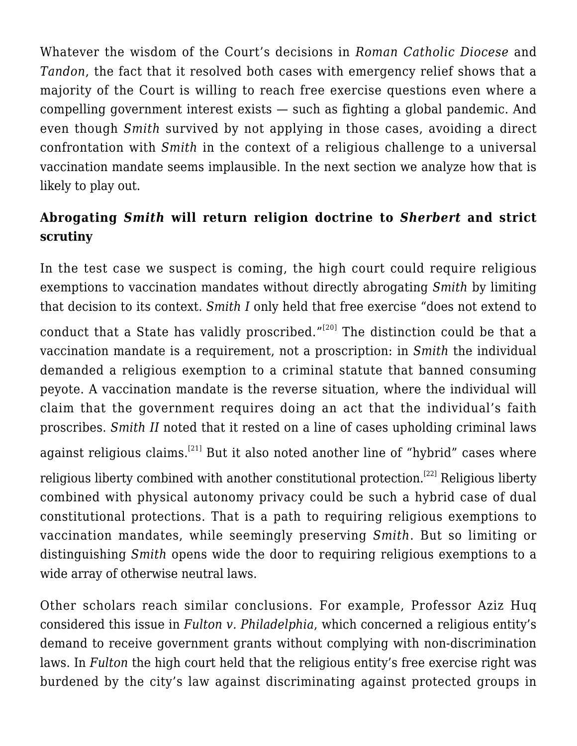Whatever the wisdom of the Court's decisions in *Roman Catholic Diocese* and *Tandon*, the fact that it resolved both cases with emergency relief shows that a majority of the Court is willing to reach free exercise questions even where a compelling government interest exists — such as fighting a global pandemic. And even though *Smith* survived by not applying in those cases, avoiding a direct confrontation with *Smith* in the context of a religious challenge to a universal vaccination mandate seems implausible. In the next section we analyze how that is likely to play out.

## **Abrogating** *Smith* **will return religion doctrine to** *Sherbert* **and strict scrutiny**

In the test case we suspect is coming, the high court could require religious exemptions to vaccination mandates without directly abrogating *Smith* by limiting that decision to its context. *Smith I* only held that free exercise "does not extend to

conduct that a State has validly proscribed." $[20]$  The distinction could be that a vaccination mandate is a requirement, not a proscription: in *Smith* the individual demanded a religious exemption to a criminal statute that banned consuming peyote. A vaccination mandate is the reverse situation, where the individual will claim that the government requires doing an act that the individual's faith proscribes. *Smith II* noted that it rested on a line of cases upholding criminal laws against religious claims.<sup>[\[21\]](#page--1-0)</sup> But it also noted another line of "hybrid" cases where religious liberty combined with another constitutional protection.<sup>[\[22\]](#page--1-0)</sup> Religious liberty combined with physical autonomy privacy could be such a hybrid case of dual constitutional protections. That is a path to requiring religious exemptions to vaccination mandates, while seemingly preserving *Smith*. But so limiting or distinguishing *Smith* opens wide the door to requiring religious exemptions to a wide array of otherwise neutral laws.

Other scholars reach similar conclusions. For example, Professor Aziz Huq [considered](https://www.washingtonpost.com/outlook/2021/06/21/fulton-religious-liberty-compromise-conservative-victory/) this issue in *Fulton v. Philadelphia*, which concerned a religious entity's demand to receive government grants without complying with non-discrimination laws. In *Fulton* the high court held that the religious entity's free exercise right was burdened by the city's law against discriminating against protected groups in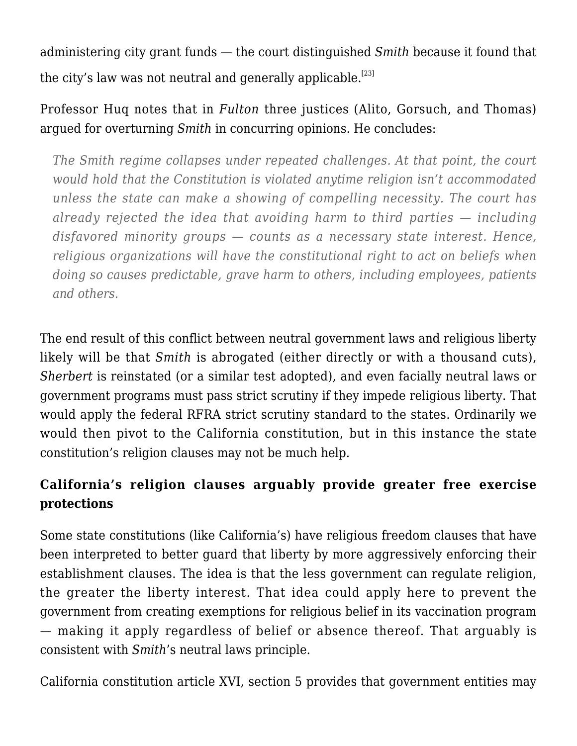administering city grant funds — the court distinguished *Smith* because it found that the city's law was not neutral and generally applicable.<sup>[\[23\]](#page--1-0)</sup>

# Professor Huq notes that in *Fulton* three justices (Alito, Gorsuch, and Thomas) argued for overturning *Smith* in concurring opinions. He concludes:

*The Smith regime collapses under repeated challenges. At that point, the court would hold that the Constitution is violated anytime religion isn't accommodated unless the state can make a showing of compelling necessity. The court has already rejected the idea that avoiding harm to third parties — including disfavored minority groups — counts as a necessary state interest. Hence, religious organizations will have the constitutional right to act on beliefs when doing so causes predictable, grave harm to others, including employees, patients and others.*

The end result of this conflict between neutral government laws and religious liberty likely will be that *Smith* is abrogated (either directly or with a thousand cuts), *Sherbert* is reinstated (or a similar test adopted), and even facially neutral laws or government programs must pass strict scrutiny if they impede religious liberty. That would apply the federal RFRA strict scrutiny standard to the states. Ordinarily we would then pivot to the California constitution, but in this instance the state constitution's religion clauses may not be much help.

# **California's religion clauses arguably provide greater free exercise protections**

Some state constitutions (like California's) have religious freedom clauses that have been interpreted to better guard that liberty by more aggressively enforcing their establishment clauses. The idea is that the less government can regulate religion, the greater the liberty interest. That idea could apply here to prevent the government from creating exemptions for religious belief in its vaccination program — making it apply regardless of belief or absence thereof. That arguably is consistent with *Smith*'s neutral laws principle.

California constitution article XVI, section 5 provides that government entities may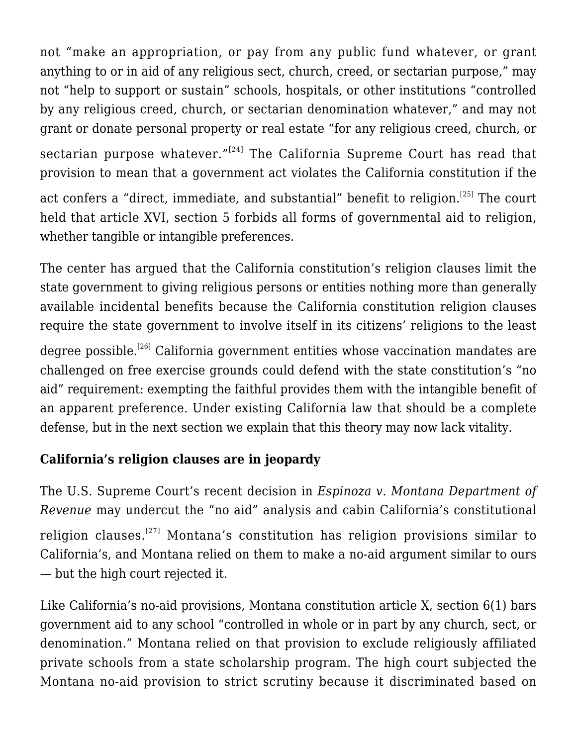not "make an appropriation, or pay from any public fund whatever, or grant anything to or in aid of any religious sect, church, creed, or sectarian purpose," may not "help to support or sustain" schools, hospitals, or other institutions "controlled by any religious creed, church, or sectarian denomination whatever," and may not grant or donate personal property or real estate "for any religious creed, church, or sectarian purpose whatever." $[24]$  The California Supreme Court has read that provision to mean that a government act violates the California constitution if the act confers a "direct, immediate, and substantial" benefit to religion.<sup>[\[25\]](#page--1-0)</sup> The court held that article XVI, section 5 forbids all forms of governmental aid to religion, whether tangible or intangible preferences.

The center has argued that the California constitution's religion clauses limit the state government to giving religious persons or entities nothing more than generally available incidental benefits because the California constitution religion clauses require the state government to involve itself in its citizens' religions to the least

degree possible.<sup>[\[26\]](#page--1-0)</sup> California government entities whose vaccination mandates are challenged on free exercise grounds could defend with the state constitution's "no aid" requirement: exempting the faithful provides them with the intangible benefit of an apparent preference. Under existing California law that should be a complete defense, but in the next section we explain that this theory may now lack vitality.

## **California's religion clauses are in jeopardy**

The U.S. Supreme Court's recent decision in *Espinoza v. Montana Department of Revenue* may undercut the "no aid" analysis and cabin California's constitutional religion clauses.[\[27\]](#page--1-0) Montana's constitution has religion provisions similar to California's, and Montana relied on them to make a no-aid argument similar to ours — but the high court rejected it.

Like California's no-aid provisions, Montana constitution article X, section 6(1) bars government aid to any school "controlled in whole or in part by any church, sect, or denomination." Montana relied on that provision to exclude religiously affiliated private schools from a state scholarship program. The high court subjected the Montana no-aid provision to strict scrutiny because it discriminated based on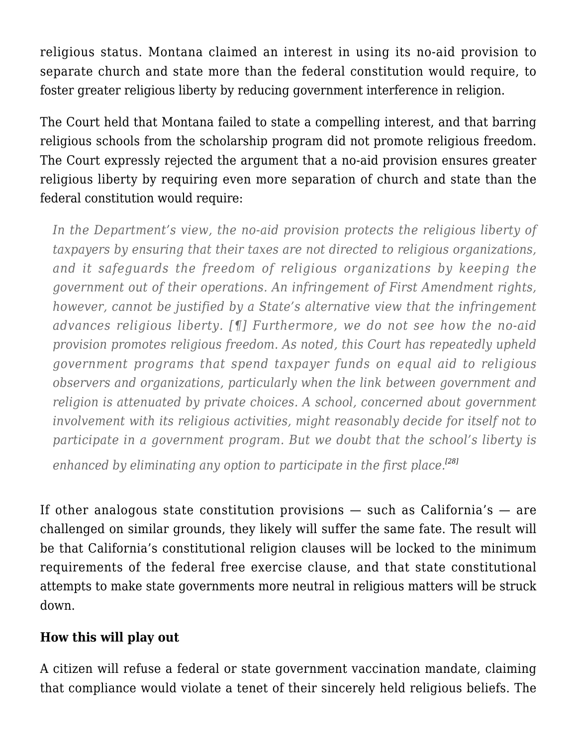religious status. Montana claimed an interest in using its no-aid provision to separate church and state more than the federal constitution would require, to foster greater religious liberty by reducing government interference in religion.

The Court held that Montana failed to state a compelling interest, and that barring religious schools from the scholarship program did not promote religious freedom. The Court expressly rejected the argument that a no-aid provision ensures greater religious liberty by requiring even more separation of church and state than the federal constitution would require:

*In the Department's view, the no-aid provision protects the religious liberty of taxpayers by ensuring that their taxes are not directed to religious organizations, and it safeguards the freedom of religious organizations by keeping the government out of their operations. An infringement of First Amendment rights, however, cannot be justified by a State's alternative view that the infringement advances religious liberty. [¶] Furthermore, we do not see how the no-aid provision promotes religious freedom. As noted, this Court has repeatedly upheld government programs that spend taxpayer funds on equal aid to religious observers and organizations, particularly when the link between government and religion is attenuated by private choices. A school, concerned about government involvement with its religious activities, might reasonably decide for itself not to participate in a government program. But we doubt that the school's liberty is*

*enhanced by eliminating any option to participate in the first place.[\[28\]](#page--1-0)*

If other analogous state constitution provisions — such as California's — are challenged on similar grounds, they likely will suffer the same fate. The result will be that California's constitutional religion clauses will be locked to the minimum requirements of the federal free exercise clause, and that state constitutional attempts to make state governments more neutral in religious matters will be struck down.

#### **How this will play out**

A citizen will refuse a federal or state government vaccination mandate, claiming that compliance would violate a tenet of their sincerely held religious beliefs. The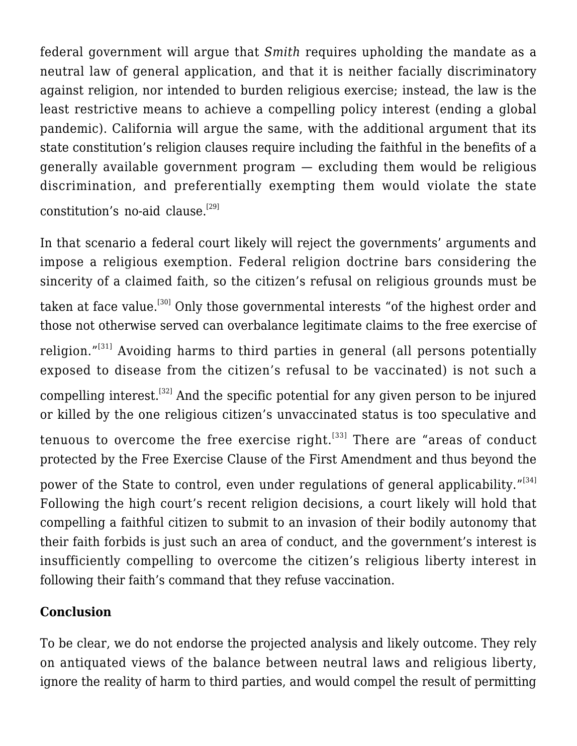federal government will argue that *Smith* requires upholding the mandate as a neutral law of general application, and that it is neither facially discriminatory against religion, nor intended to burden religious exercise; instead, the law is the least restrictive means to achieve a compelling policy interest (ending a global pandemic). California will argue the same, with the additional argument that its state constitution's religion clauses require including the faithful in the benefits of a generally available government program — excluding them would be religious discrimination, and preferentially exempting them would violate the state constitution's no-aid clause. $[29]$ 

In that scenario a federal court likely will reject the governments' arguments and impose a religious exemption. Federal religion doctrine bars considering the sincerity of a claimed faith, so the citizen's refusal on religious grounds must be taken at face value.<sup>[\[30\]](#page--1-0)</sup> Only those governmental interests "of the highest order and those not otherwise served can overbalance legitimate claims to the free exercise of religion."<sup>[\[31\]](#page--1-0)</sup> Avoiding harms to third parties in general (all persons potentially exposed to disease from the citizen's refusal to be vaccinated) is not such a compelling interest.<sup>[\[32\]](#page--1-0)</sup> And the specific potential for any given person to be injured or killed by the one religious citizen's unvaccinated status is too speculative and tenuous to overcome the free exercise right. $[33]$  There are "areas of conduct protected by the Free Exercise Clause of the First Amendment and thus beyond the power of the State to control, even under regulations of general applicability."<sup>[\[34\]](#page--1-0)</sup> Following the high court's recent religion decisions, a court likely will hold that compelling a faithful citizen to submit to an invasion of their bodily autonomy that their faith forbids is just such an area of conduct, and the government's interest is insufficiently compelling to overcome the citizen's religious liberty interest in following their faith's command that they refuse vaccination.

## **Conclusion**

To be clear, we do not endorse the projected analysis and likely outcome. They rely on antiquated views of the balance between neutral laws and religious liberty, ignore the reality of harm to third parties, and would compel the result of permitting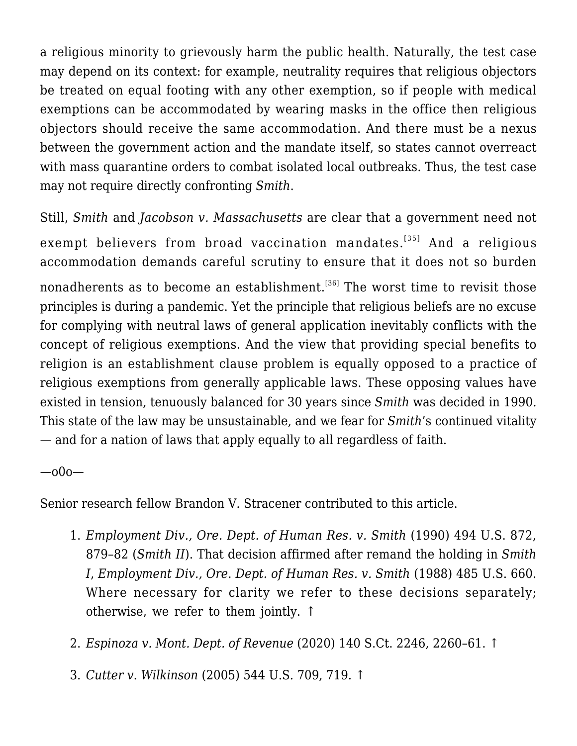a religious minority to grievously harm the public health. Naturally, the test case may depend on its context: for example, neutrality requires that religious objectors be treated on equal footing with any other exemption, so if people with medical exemptions can be accommodated by wearing masks in the office then religious objectors should receive the same accommodation. And there must be a nexus between the government action and the mandate itself, so states cannot overreact with mass quarantine orders to combat isolated local outbreaks. Thus, the test case may not require directly confronting *Smith*.

Still, *Smith* and *Jacobson v. Massachusetts* are clear that a government need not exempt believers from broad vaccination mandates.<sup>[\[35\]](#page--1-0)</sup> And a religious accommodation demands careful scrutiny to ensure that it does not so burden nonadherents as to become an establishment.<sup>[\[36\]](#page--1-0)</sup> The worst time to revisit those principles is during a pandemic. Yet the principle that religious beliefs are no excuse for complying with neutral laws of general application inevitably conflicts with the concept of religious exemptions. And the view that providing special benefits to religion is an establishment clause problem is equally opposed to a practice of religious exemptions from generally applicable laws. These opposing values have existed in tension, tenuously balanced for 30 years since *Smith* was decided in 1990. This state of the law may be unsustainable, and we fear for *Smith*'s continued vitality — and for a nation of laws that apply equally to all regardless of faith.

—o0o—

Senior research fellow Brandon V. Stracener contributed to this article.

- 1. *[Employment Div., Ore. Dept. of Human Res. v. Smith](https://scholar.google.com/scholar_case?case=10098593029363815472&q=494+us+872+1990&hl=en&as_sdt=2006)* [\(1990\)](https://scholar.google.com/scholar_case?case=10098593029363815472&q=494+us+872+1990&hl=en&as_sdt=2006) 494 U.S. 872, 879–82 (*Smith II*). That decision affirmed after remand the holding in *Smith I*, *[Employment Div., Ore. Dept. of Human Res. v. Smith](https://scholar.google.com/scholar_case?case=3827331633386867336&q=485+U.S.+660&hl=en&as_sdt=2006)* [\(1988\)](https://scholar.google.com/scholar_case?case=3827331633386867336&q=485+U.S.+660&hl=en&as_sdt=2006) 485 U.S. 660. Where necessary for clarity we refer to these decisions separately; otherwise, we refer to them jointly. [↑](#page--1-0)
- 2. *[Espinoza v. Mont. Dept. of Revenue](https://scholar.google.com/scholar_case?case=2705947339230562830&q=140+S.Ct.+2246&hl=en&as_sdt=2006)* [\(2020\)](https://scholar.google.com/scholar_case?case=2705947339230562830&q=140+S.Ct.+2246&hl=en&as_sdt=2006) 140 S.Ct. 2246, 2260–61. [↑](#page--1-0)
- 3. *[Cutter v. Wilkinson](https://scholar.google.com/scholar_case?case=18159772008817235086&q=544+U.S.+709&hl=en&as_sdt=2006)* [\(2005\)](https://scholar.google.com/scholar_case?case=18159772008817235086&q=544+U.S.+709&hl=en&as_sdt=2006) 544 U.S. 709, 719. [↑](#page--1-0)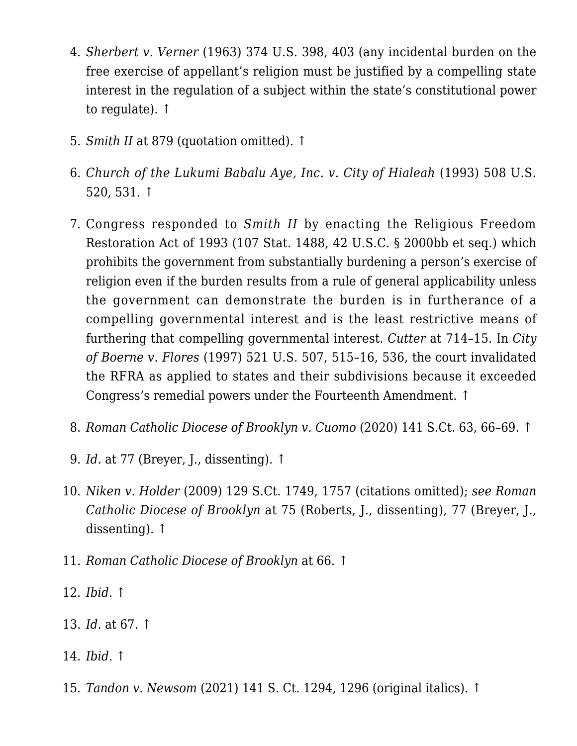- 4. *[Sherbert v. Verner](https://scholar.google.com/scholar_case?case=17526177081953259048&q=374+U.S.+398&hl=en&as_sdt=2006)* [\(1963\)](https://scholar.google.com/scholar_case?case=17526177081953259048&q=374+U.S.+398&hl=en&as_sdt=2006) 374 U.S. 398, 403 (any incidental burden on the free exercise of appellant's religion must be justified by a compelling state interest in the regulation of a subject within the state's constitutional power to regulate). [↑](#page--1-0)
- 5. *[Smith II](https://scholar.google.com/scholar_case?case=10098593029363815472&q=494+us+872+1990&hl=en&as_sdt=2006)* at 879 (quotation omitted). [↑](#page--1-0)
- 6. *[Church of the Lukumi Babalu Aye, Inc. v. City of Hialeah](https://scholar.google.com/scholar_case?case=975414503455261754&q=508+U.S.+520&hl=en&as_sdt=2006)* [\(1993\)](https://scholar.google.com/scholar_case?case=975414503455261754&q=508+U.S.+520&hl=en&as_sdt=2006) 508 U.S. 520, 531. [↑](#page--1-0)
- 7. Congress responded to *Smith II* by enacting the Religious Freedom Restoration Act of 1993 (107 Stat. 1488, 42 U.S.C. § 2000bb et seq.) which prohibits the government from substantially burdening a person's exercise of religion even if the burden results from a rule of general applicability unless the government can demonstrate the burden is in furtherance of a compelling governmental interest and is the least restrictive means of furthering that compelling governmental interest. *[Cutter](https://scholar.google.com/scholar_case?case=18159772008817235086&q=544+U.S.+709&hl=en&as_sdt=2006)* at 714–15. In *[City](https://scholar.google.com/scholar_case?case=8746804851760570747&q=521+U.S.+507&hl=en&as_sdt=2006) [of Boerne v. Flores](https://scholar.google.com/scholar_case?case=8746804851760570747&q=521+U.S.+507&hl=en&as_sdt=2006)* [\(1997\)](https://scholar.google.com/scholar_case?case=8746804851760570747&q=521+U.S.+507&hl=en&as_sdt=2006) 521 U.S. 507, 515–16, 536, the court invalidated the RFRA as applied to states and their subdivisions because it exceeded Congress's remedial powers under the Fourteenth Amendment. [↑](#page--1-0)
- 8. *[Roman Catholic Diocese of Brooklyn v. Cuomo](https://scholar.google.com/scholar_case?case=14249141472030529264&q=Roman+Catholic+Diocese+of+Brooklyn+v.+Cuomo+&hl=en&as_sdt=2006)* [\(2020\)](https://scholar.google.com/scholar_case?case=14249141472030529264&q=Roman+Catholic+Diocese+of+Brooklyn+v.+Cuomo+&hl=en&as_sdt=2006) 141 S.Ct. 63, 66–69. [↑](#page--1-0)
- 9. *[Id.](https://scholar.google.com/scholar_case?case=14249141472030529264&q=Roman+Catholic+Diocese+of+Brooklyn+v.+Cuomo+&hl=en&as_sdt=2006)* at 77 (Breyer, J., dissenting). [↑](#page--1-0)
- 10. *[Niken v. Holder](https://scholar.google.com/scholar_case?case=13464114828301030690&q=129+S.Ct.+1749&hl=en&as_sdt=2006)* [\(2009\)](https://scholar.google.com/scholar_case?case=13464114828301030690&q=129+S.Ct.+1749&hl=en&as_sdt=2006) 129 S.Ct. 1749, 1757 (citations omitted); *see [Roman](https://scholar.google.com/scholar_case?case=14249141472030529264&q=Roman+Catholic+Diocese+of+Brooklyn+v.+Cuomo+&hl=en&as_sdt=2006) [Catholic Diocese of Brooklyn](https://scholar.google.com/scholar_case?case=14249141472030529264&q=Roman+Catholic+Diocese+of+Brooklyn+v.+Cuomo+&hl=en&as_sdt=2006)* at 75 (Roberts, J., dissenting), 77 (Breyer, J., dissenting). [↑](#page--1-0)
- 11. *[Roman Catholic Diocese of Brooklyn](https://scholar.google.com/scholar_case?case=14249141472030529264&q=Roman+Catholic+Diocese+of+Brooklyn+v.+Cuomo+&hl=en&as_sdt=2006)* at 66. [↑](#page--1-0)
- 12. *[Ibid.](https://scholar.google.com/scholar_case?case=14249141472030529264&q=Roman+Catholic+Diocese+of+Brooklyn+v.+Cuomo+&hl=en&as_sdt=2006)* [↑](#page--1-0)
- 13. *[Id.](https://scholar.google.com/scholar_case?case=14249141472030529264&q=Roman+Catholic+Diocese+of+Brooklyn+v.+Cuomo+&hl=en&as_sdt=2006)* at 67. [↑](#page--1-0)
- 14. *[Ibid.](https://scholar.google.com/scholar_case?case=14249141472030529264&q=Roman+Catholic+Diocese+of+Brooklyn+v.+Cuomo+&hl=en&as_sdt=2006)* [↑](#page--1-0)
- 15. *[Tandon v. Newsom](https://scholar.google.com/scholar_case?case=17656243762288077494&q=141+S.+Ct.+1294&hl=en&as_sdt=2006)* [\(2021\)](https://scholar.google.com/scholar_case?case=17656243762288077494&q=141+S.+Ct.+1294&hl=en&as_sdt=2006) 141 S. Ct. 1294, 1296 (original italics). [↑](#page--1-0)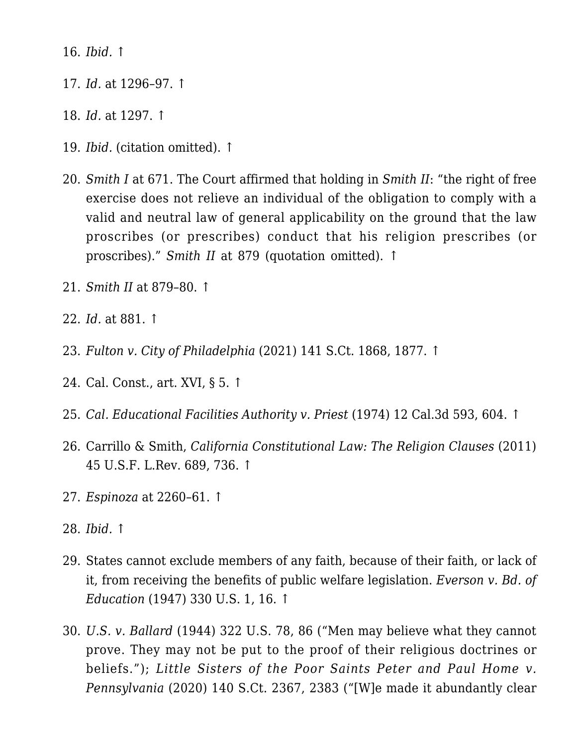16. *[Ibid.](https://scholar.google.com/scholar_case?case=17656243762288077494&q=141+S.+Ct.+1294&hl=en&as_sdt=2006)* [↑](#page--1-0)

- 17. *[Id.](https://scholar.google.com/scholar_case?case=17656243762288077494&q=141+S.+Ct.+1294&hl=en&as_sdt=2006)* at 1296–97. [↑](#page--1-0)
- 18. *[Id.](https://scholar.google.com/scholar_case?case=17656243762288077494&q=141+S.+Ct.+1294&hl=en&as_sdt=2006)* at 1297. [↑](#page--1-0)
- 19. *[Ibid.](https://scholar.google.com/scholar_case?case=17656243762288077494&q=141+S.+Ct.+1294&hl=en&as_sdt=2006)* (citation omitted). [↑](#page--1-0)
- 20. *[Smith I](https://scholar.google.com/scholar_case?case=3827331633386867336&q=485+U.S.+660&hl=en&as_sdt=2006)* at 671. The Court affirmed that holding in *Smith II*: "the right of free exercise does not relieve an individual of the obligation to comply with a valid and neutral law of general applicability on the ground that the law proscribes (or prescribes) conduct that his religion prescribes (or proscribes)." *[Smith II](https://scholar.google.com/scholar_case?case=10098593029363815472&q=494+us+872+1990&hl=en&as_sdt=2006)* at 879 (quotation omitted). [↑](#page--1-0)
- 21. *[Smith II](https://scholar.google.com/scholar_case?case=10098593029363815472&q=494+us+872+1990&hl=en&as_sdt=2006)* at 879–80. [↑](#page--1-0)
- 22. *[Id.](https://scholar.google.com/scholar_case?case=10098593029363815472&q=494+us+872+1990&hl=en&as_sdt=2006)* at 881. [↑](#page--1-0)
- 23. *[Fulton v. City of Philadelphia](https://scholar.google.com/scholar_case?case=4353087893973524443&q=141+S.Ct.+1868&hl=en&as_sdt=2006)* [\(2021\)](https://scholar.google.com/scholar_case?case=4353087893973524443&q=141+S.Ct.+1868&hl=en&as_sdt=2006) 141 S.Ct. 1868, 1877. [↑](#page--1-0)
- 24. Cal. Const., art. XVI, § 5. [↑](#page--1-0)
- 25. *[Cal. Educational Facilities Authority v. Priest](https://scholar.google.com/scholar_case?case=4825305334563743785&q=12+Cal.3d+593&hl=en&as_sdt=2006)* [\(1974\)](https://scholar.google.com/scholar_case?case=4825305334563743785&q=12+Cal.3d+593&hl=en&as_sdt=2006) 12 Cal.3d 593, 604. [↑](#page--1-0)
- 26. Carrillo & Smith, *California Constitutional Law: The Religion Clauses* (2011) 45 U.S.F. L.Rev. 689, 736. [↑](#page--1-0)
- 27. *[Espinoza](https://scholar.google.com/scholar_case?case=2705947339230562830&q=140+S.Ct.+2246&hl=en&as_sdt=2006)* at 2260–61. [↑](#page--1-0)
- 28. *[Ibid.](https://scholar.google.com/scholar_case?case=2705947339230562830&q=140+S.Ct.+2246&hl=en&as_sdt=2006)* [↑](#page--1-0)
- 29. States cannot exclude members of any faith, because of their faith, or lack of it, from receiving the benefits of public welfare legislation. *[Everson v. Bd. of](https://scholar.google.com/scholar_case?case=3620075287275437211&q=330+U.S.+1&hl=en&as_sdt=2006) [Education](https://scholar.google.com/scholar_case?case=3620075287275437211&q=330+U.S.+1&hl=en&as_sdt=2006)* [\(1947\)](https://scholar.google.com/scholar_case?case=3620075287275437211&q=330+U.S.+1&hl=en&as_sdt=2006) 330 U.S. 1, 16. [↑](#page--1-0)
- 30. *[U.S. v. Ballard](https://scholar.google.com/scholar_case?case=8081446579805447557&q=322+U.S.+78&hl=en&as_sdt=2006)* [\(1944\)](https://scholar.google.com/scholar_case?case=8081446579805447557&q=322+U.S.+78&hl=en&as_sdt=2006) 322 U.S. 78, 86 ("Men may believe what they cannot prove. They may not be put to the proof of their religious doctrines or beliefs."); *[Little Sisters of the Poor Saints Peter and Paul Home v.](https://scholar.google.com/scholar_case?case=1096688993625942493&q=140+S.Ct.+2367&hl=en&as_sdt=2006) [Pennsylvania](https://scholar.google.com/scholar_case?case=1096688993625942493&q=140+S.Ct.+2367&hl=en&as_sdt=2006)* [\(2020\)](https://scholar.google.com/scholar_case?case=1096688993625942493&q=140+S.Ct.+2367&hl=en&as_sdt=2006) 140 S.Ct. 2367, 2383 ("[W]e made it abundantly clear